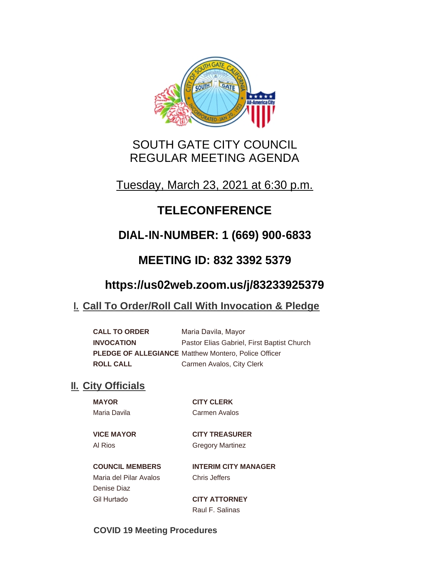

# SOUTH GATE CITY COUNCIL REGULAR MEETING AGENDA

Tuesday, March 23, 2021 at 6:30 p.m.

# **TELECONFERENCE**

# **DIAL-IN-NUMBER: 1 (669) 900-6833**

# **MEETING ID: 832 3392 5379**

# **https://us02web.zoom.us/j/83233925379**

# **Call To Order/Roll Call With Invocation & Pledge I.**

**CALL TO ORDER** Maria Davila, Mayor **INVOCATION** Pastor Elias Gabriel, First Baptist Church **PLEDGE OF ALLEGIANCE** Matthew Montero, Police Officer **ROLL CALL** Carmen Avalos, City Clerk

# **II.** City Officials

**MAYOR CITY CLERK** Maria Davila Carmen Avalos

**VICE MAYOR CITY TREASURER** Al Rios **Gregory Martinez** 

**COUNCIL MEMBERS INTERIM CITY MANAGER** Maria del Pilar Avalos Chris Jeffers Denise Diaz

Gil Hurtado **CITY ATTORNEY** Raul F. Salinas

**COVID 19 Meeting Procedures**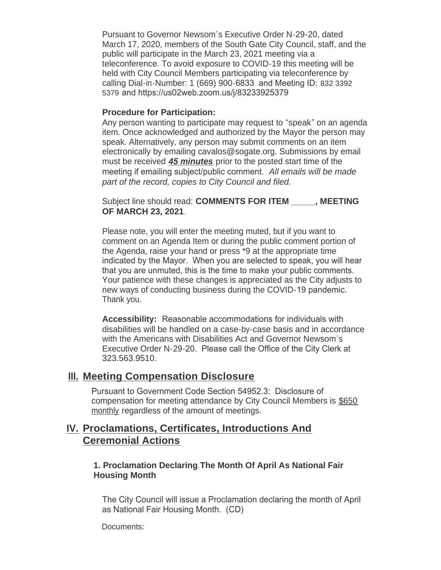Pursuant to Governor Newsom's Executive Order N-29-20, dated March 17, 2020, members of the South Gate City Council, staff, and the public will participate in the March 23, 2021 meeting via a teleconference. To avoid exposure to COVID-19 this meeting will be held with City Council Members participating via teleconference by calling Dial-in-Number: 1 (669) 900-6833 and Meeting ID: 832 3392 5379 and https://us02web.zoom.us/j/83233925379

#### **Procedure for Participation:**

Any person wanting to participate may request to "speak" on an agenda item. Once acknowledged and authorized by the Mayor the person may speak. Alternatively, any person may submit comments on an item electronically by emailing cavalos@sogate.org. Submissions by email must be received *45 minutes* prior to the posted start time of the meeting if emailing subject/public comment. *All emails will be made part of the record, copies to City Council and filed.*

Subject line should read: **COMMENTS FOR ITEM \_\_\_\_\_, MEETING OF MARCH 23, 2021**.

Please note, you will enter the meeting muted, but if you want to comment on an Agenda Item or during the public comment portion of the Agenda, raise your hand or press \*9 at the appropriate time indicated by the Mayor. When you are selected to speak, you will hear that you are unmuted, this is the time to make your public comments. Your patience with these changes is appreciated as the City adjusts to new ways of conducting business during the COVID-19 pandemic. Thank you.

**Accessibility:** Reasonable accommodations for individuals with disabilities will be handled on a case-by-case basis and in accordance with the Americans with Disabilities Act and Governor Newsom's Executive Order N-29-20. Please call the Office of the City Clerk at 323.563.9510.

#### **Meeting Compensation Disclosure III.**

Pursuant to Government Code Section 54952.3: Disclosure of compensation for meeting attendance by City Council Members is \$650 monthly regardless of the amount of meetings.

## **Proclamations, Certificates, Introductions And IV. Ceremonial Actions**

#### **1. Proclamation Declaring The Month Of April As National Fair Housing Month**

The City Council will issue a Proclamation declaring the month of April as National Fair Housing Month. (CD)

Documents: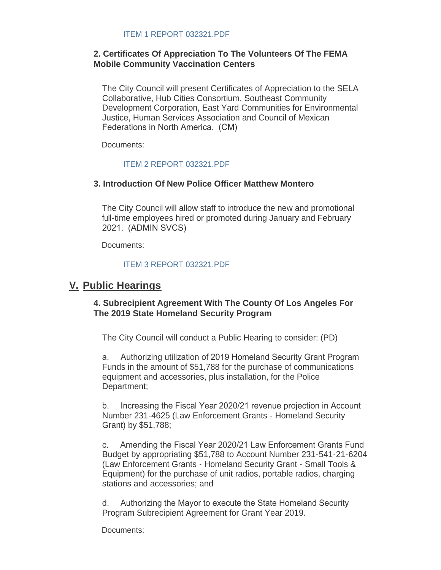#### **2. Certificates Of Appreciation To The Volunteers Of The FEMA Mobile Community Vaccination Centers**

The City Council will present Certificates of Appreciation to the SELA Collaborative, Hub Cities Consortium, Southeast Community Development Corporation, East Yard Communities for Environmental Justice, Human Services Association and Council of Mexican Federations in North America. (CM)

Documents:

#### [ITEM 2 REPORT 032321.PDF](http://www.cityofsouthgate.org/AgendaCenter/ViewFile/Item/10252?fileID=33292)

#### **3. Introduction Of New Police Officer Matthew Montero**

The City Council will allow staff to introduce the new and promotional full-time employees hired or promoted during January and February 2021. (ADMIN SVCS)

Documents:

#### [ITEM 3 REPORT 032321.PDF](http://www.cityofsouthgate.org/AgendaCenter/ViewFile/Item/10241?fileID=33288)

## **Public Hearings V.**

#### **4. Subrecipient Agreement With The County Of Los Angeles For The 2019 State Homeland Security Program**

The City Council will conduct a Public Hearing to consider: (PD)

a. Authorizing utilization of 2019 Homeland Security Grant Program Funds in the amount of \$51,788 for the purchase of communications equipment and accessories, plus installation, for the Police Department;

b. Increasing the Fiscal Year 2020/21 revenue projection in Account Number 231-4625 (Law Enforcement Grants - Homeland Security Grant) by \$51,788;

c. Amending the Fiscal Year 2020/21 Law Enforcement Grants Fund Budget by appropriating \$51,788 to Account Number 231-541-21-6204 (Law Enforcement Grants - Homeland Security Grant - Small Tools & Equipment) for the purchase of unit radios, portable radios, charging stations and accessories; and

d. Authorizing the Mayor to execute the State Homeland Security Program Subrecipient Agreement for Grant Year 2019.

Documents: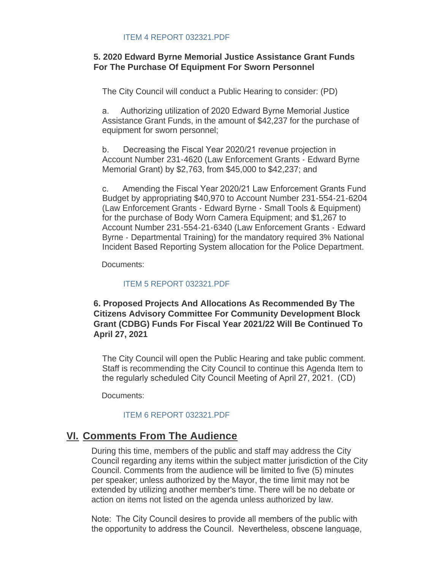#### **5. 2020 Edward Byrne Memorial Justice Assistance Grant Funds For The Purchase Of Equipment For Sworn Personnel**

The City Council will conduct a Public Hearing to consider: (PD)

a. Authorizing utilization of 2020 Edward Byrne Memorial Justice Assistance Grant Funds, in the amount of \$42,237 for the purchase of equipment for sworn personnel;

b. Decreasing the Fiscal Year 2020/21 revenue projection in Account Number 231-4620 (Law Enforcement Grants - Edward Byrne Memorial Grant) by \$2,763, from \$45,000 to \$42,237; and

c. Amending the Fiscal Year 2020/21 Law Enforcement Grants Fund Budget by appropriating \$40,970 to Account Number 231-554-21-6204 (Law Enforcement Grants - Edward Byrne - Small Tools & Equipment) for the purchase of Body Worn Camera Equipment; and \$1,267 to Account Number 231-554-21-6340 (Law Enforcement Grants - Edward Byrne - Departmental Training) for the mandatory required 3% National Incident Based Reporting System allocation for the Police Department.

Documents:

#### [ITEM 5 REPORT 032321.PDF](http://www.cityofsouthgate.org/AgendaCenter/ViewFile/Item/10260?fileID=33299)

#### **6. Proposed Projects And Allocations As Recommended By The Citizens Advisory Committee For Community Development Block Grant (CDBG) Funds For Fiscal Year 2021/22 Will Be Continued To April 27, 2021**

The City Council will open the Public Hearing and take public comment. Staff is recommending the City Council to continue this Agenda Item to the regularly scheduled City Council Meeting of April 27, 2021. (CD)

Documents:

### [ITEM 6 REPORT 032321.PDF](http://www.cityofsouthgate.org/AgendaCenter/ViewFile/Item/10261?fileID=33300)

## **<u>VI. Comments From The Audience</u>**

During this time, members of the public and staff may address the City Council regarding any items within the subject matter jurisdiction of the City Council. Comments from the audience will be limited to five (5) minutes per speaker; unless authorized by the Mayor, the time limit may not be extended by utilizing another member's time. There will be no debate or action on items not listed on the agenda unless authorized by law.

Note: The City Council desires to provide all members of the public with the opportunity to address the Council. Nevertheless, obscene language,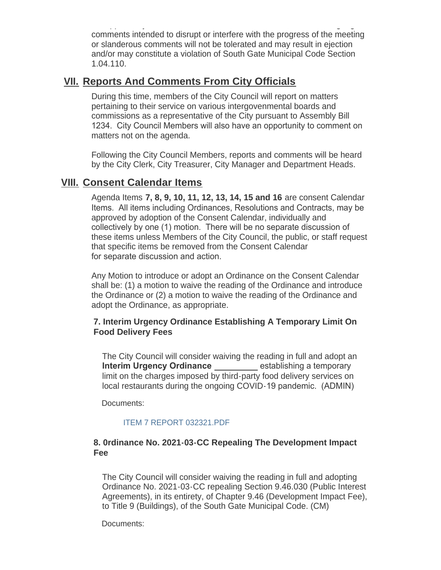the opportunity to address the Council. Nevertheless, obscene language, comments intended to disrupt or interfere with the progress of the meeting or slanderous comments will not be tolerated and may result in ejection and/or may constitute a violation of South Gate Municipal Code Section 1.04.110.

## **<u>VII. Reports And Comments From City Officials</u>**

During this time, members of the City Council will report on matters pertaining to their service on various intergovenmental boards and commissions as a representative of the City pursuant to Assembly Bill 1234. City Council Members will also have an opportunity to comment on matters not on the agenda.

Following the City Council Members, reports and comments will be heard by the City Clerk, City Treasurer, City Manager and Department Heads.

## **Consent Calendar Items VIII.**

Agenda Items **7, 8, 9, 10, 11, 12, 13, 14, 15 and 16** are consent Calendar Items. All items including Ordinances, Resolutions and Contracts, may be approved by adoption of the Consent Calendar, individually and collectively by one (1) motion. There will be no separate discussion of these items unless Members of the City Council, the public, or staff request that specific items be removed from the Consent Calendar for separate discussion and action.

Any Motion to introduce or adopt an Ordinance on the Consent Calendar shall be: (1) a motion to waive the reading of the Ordinance and introduce the Ordinance or (2) a motion to waive the reading of the Ordinance and adopt the Ordinance, as appropriate.

#### **7. Interim Urgency Ordinance Establishing A Temporary Limit On Food Delivery Fees**

The City Council will consider waiving the reading in full and adopt an **Interim Urgency Ordinance** establishing a temporary limit on the charges imposed by third-party food delivery services on local restaurants during the ongoing COVID-19 pandemic. (ADMIN)

Documents:

#### [ITEM 7 REPORT 032321.PDF](http://www.cityofsouthgate.org/AgendaCenter/ViewFile/Item/10245?fileID=33284)

#### **8. 0rdinance No. 2021-03-CC Repealing The Development Impact Fee**

The City Council will consider waiving the reading in full and adopting Ordinance No. 2021-03-CC repealing Section 9.46.030 (Public Interest Agreements), in its entirety, of Chapter 9.46 (Development Impact Fee), to Title 9 (Buildings), of the South Gate Municipal Code. (CM)

Documents: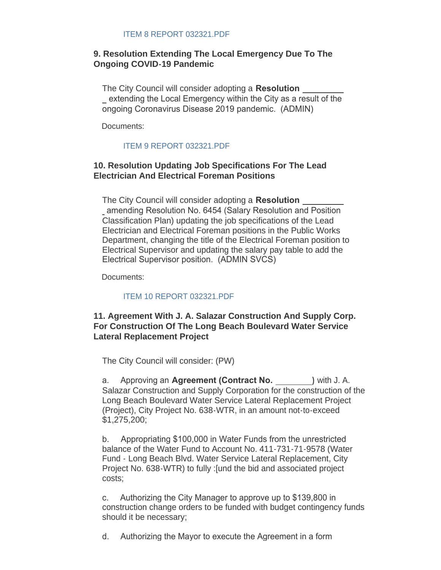#### **9. Resolution Extending The Local Emergency Due To The Ongoing COVID-19 Pandemic**

The City Council will consider adopting a **Resolution**  extending the Local Emergency within the City as a result of the ongoing Coronavirus Disease 2019 pandemic. (ADMIN)

Documents:

#### [ITEM 9 REPORT 032321.PDF](http://www.cityofsouthgate.org/AgendaCenter/ViewFile/Item/10246?fileID=33285)

#### **10. Resolution Updating Job Specifications For The Lead Electrician And Electrical Foreman Positions**

The City Council will consider adopting a **Resolution**  amending Resolution No. 6454 (Salary Resolution and Position Classification Plan) updating the job specifications of the Lead Electrician and Electrical Foreman positions in the Public Works Department, changing the title of the Electrical Foreman position to Electrical Supervisor and updating the salary pay table to add the Electrical Supervisor position. (ADMIN SVCS)

Documents:

#### [ITEM 10 REPORT 032321.PDF](http://www.cityofsouthgate.org/AgendaCenter/ViewFile/Item/10249?fileID=33289)

#### **11. Agreement With J. A. Salazar Construction And Supply Corp. For Construction Of The Long Beach Boulevard Water Service Lateral Replacement Project**

The City Council will consider: (PW)

a. Approving an **Agreement (Contract No. )** with J. A. Salazar Construction and Supply Corporation for the construction of the Long Beach Boulevard Water Service Lateral Replacement Project (Project), City Project No. 638-WTR, in an amount not-to-exceed \$1,275,200;

b. Appropriating \$100,000 in Water Funds from the unrestricted balance of the Water Fund to Account No. 411-731-71-9578 (Water Fund - Long Beach Blvd. Water Service Lateral Replacement, City Project No. 638-WTR) to fully :[und the bid and associated project costs;

c. Authorizing the City Manager to approve up to \$139,800 in construction change orders to be funded with budget contingency funds should it be necessary;

d. Authorizing the Mayor to execute the Agreement in a form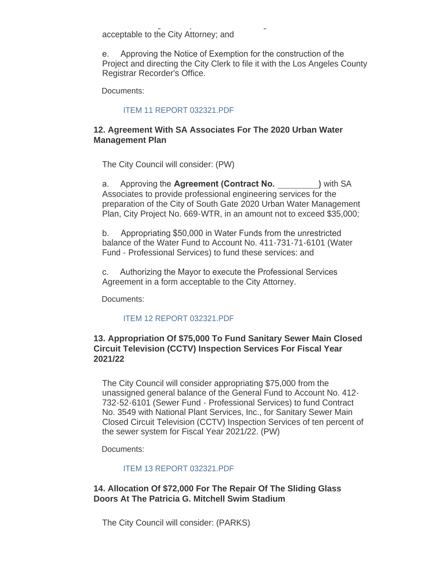d. Authorizing the Mayor to execute the Agreement in a form acceptable to the City Attorney; and

e. Approving the Notice of Exemption for the construction of the Project and directing the City Clerk to file it with the Los Angeles County Registrar Recorder's Office.

Documents:

#### [ITEM 11 REPORT 032321.PDF](http://www.cityofsouthgate.org/AgendaCenter/ViewFile/Item/10257?fileID=33296)

#### **12. Agreement With SA Associates For The 2020 Urban Water Management Plan**

The City Council will consider: (PW)

a. Approving the **Agreement (Contract No. )** with SA Associates to provide professional engineering services for the preparation of the City of South Gate 2020 Urban Water Management Plan, City Project No. 669-WTR, in an amount not to exceed \$35,000;

b. Appropriating \$50,000 in Water Funds from the unrestricted balance of the Water Fund to Account No. 411-731-71-6101 (Water Fund - Professional Services) to fund these services: and

c. Authorizing the Mayor to execute the Professional Services Agreement in a form acceptable to the City Attorney.

Documents:

#### [ITEM 12 REPORT 032321.PDF](http://www.cityofsouthgate.org/AgendaCenter/ViewFile/Item/10258?fileID=33297)

#### **13. Appropriation Of \$75,000 To Fund Sanitary Sewer Main Closed Circuit Television (CCTV) Inspection Services For Fiscal Year 2021/22**

The City Council will consider appropriating \$75,000 from the unassigned general balance of the General Fund to Account No. 412- 732-52-6101 (Sewer Fund - Professional Services) to fund Contract No. 3549 with National Plant Services, Inc., for Sanitary Sewer Main Closed Circuit Television (CCTV) Inspection Services of ten percent of the sewer system for Fiscal Year 2021/22. (PW)

Documents:

#### [ITEM 13 REPORT 032321.PDF](http://www.cityofsouthgate.org/AgendaCenter/ViewFile/Item/10250?fileID=33290)

**14. Allocation Of \$72,000 For The Repair Of The Sliding Glass Doors At The Patricia G. Mitchell Swim Stadium**

The City Council will consider: (PARKS)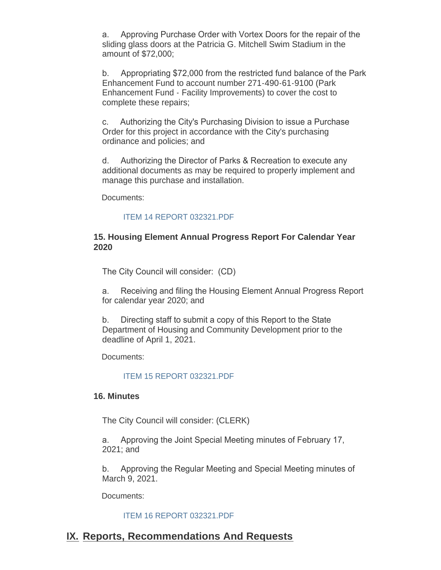a. Approving Purchase Order with Vortex Doors for the repair of the sliding glass doors at the Patricia G. Mitchell Swim Stadium in the amount of \$72,000;

b. Appropriating \$72,000 from the restricted fund balance of the Park Enhancement Fund to account number 271-490-61-9100 (Park Enhancement Fund - Facility Improvements) to cover the cost to complete these repairs;

c. Authorizing the City's Purchasing Division to issue a Purchase Order for this project in accordance with the City's purchasing ordinance and policies; and

d. Authorizing the Director of Parks & Recreation to execute any additional documents as may be required to properly implement and manage this purchase and installation.

Documents:

#### [ITEM 14 REPORT 032321.PDF](http://www.cityofsouthgate.org/AgendaCenter/ViewFile/Item/10263?fileID=33302)

#### **15. Housing Element Annual Progress Report For Calendar Year 2020**

The City Council will consider: (CD)

a. Receiving and filing the Housing Element Annual Progress Report for calendar year 2020; and

b. Directing staff to submit a copy of this Report to the State Department of Housing and Community Development prior to the deadline of April 1, 2021.

Documents:

[ITEM 15 REPORT 032321.PDF](http://www.cityofsouthgate.org/AgendaCenter/ViewFile/Item/10254?fileID=33301)

#### **16. Minutes**

The City Council will consider: (CLERK)

a. Approving the Joint Special Meeting minutes of February 17, 2021; and

b. Approving the Regular Meeting and Special Meeting minutes of March 9, 2021.

Documents:

#### [ITEM 16 REPORT 032321.PDF](http://www.cityofsouthgate.org/AgendaCenter/ViewFile/Item/10251?fileID=33291)

## **IX. Reports, Recommendations And Requests**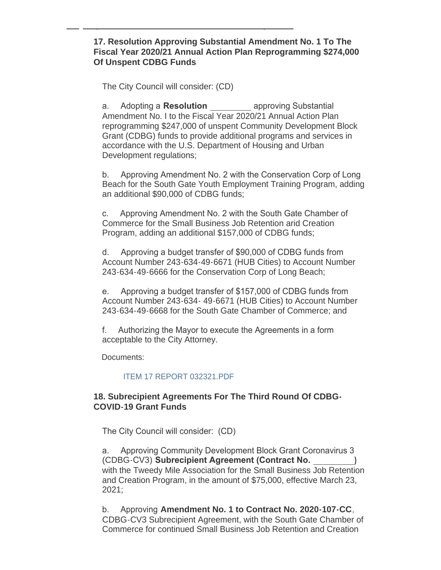#### **17. Resolution Approving Substantial Amendment No. 1 To The Fiscal Year 2020/21 Annual Action Plan Reprogramming \$274,000 Of Unspent CDBG Funds**

The City Council will consider: (CD)

**IX.**

**Reports, Recommendations And Requests**

a. Adopting a **Resolution** approving Substantial Amendment No. I to the Fiscal Year 2020/21 Annual Action Plan reprogramming \$247,000 of unspent Community Development Block Grant (CDBG) funds to provide additional programs and services in accordance with the U.S. Department of Housing and Urban Development regulations;

b. Approving Amendment No. 2 with the Conservation Corp of Long Beach for the South Gate Youth Employment Training Program, adding an additional \$90,000 of CDBG funds;

c. Approving Amendment No. 2 with the South Gate Chamber of Commerce for the Small Business Job Retention arid Creation Program, adding an additional \$157,000 of CDBG funds;

d. Approving a budget transfer of \$90,000 of CDBG funds from Account Number 243-634-49-6671 (HUB Cities) to Account Number 243-634-49-6666 for the Conservation Corp of Long Beach;

e. Approving a budget transfer of \$157,000 of CDBG funds from Account Number 243-634- 49-6671 (HUB Cities) to Account Number 243-634-49-6668 for the South Gate Chamber of Commerce; and

f. Authorizing the Mayor to execute the Agreements in a form acceptable to the City Attorney.

Documents:

#### [ITEM 17 REPORT 032321.PDF](http://www.cityofsouthgate.org/AgendaCenter/ViewFile/Item/10264?fileID=33303)

#### **18. Subrecipient Agreements For The Third Round Of CDBG-COVID-19 Grant Funds**

The City Council will consider: (CD)

a. Approving Community Development Block Grant Coronavirus 3 (CDBG-CV3) **Subrecipient Agreement (Contract No. )** with the Tweedy Mile Association for the Small Business Job Retention and Creation Program, in the amount of \$75,000, effective March 23, 2021;

b. Approving **Amendment No. 1 to Contract No. 2020-107-CC**, CDBG-CV3 Subrecipient Agreement, with the South Gate Chamber of Commerce for continued Small Business Job Retention and Creation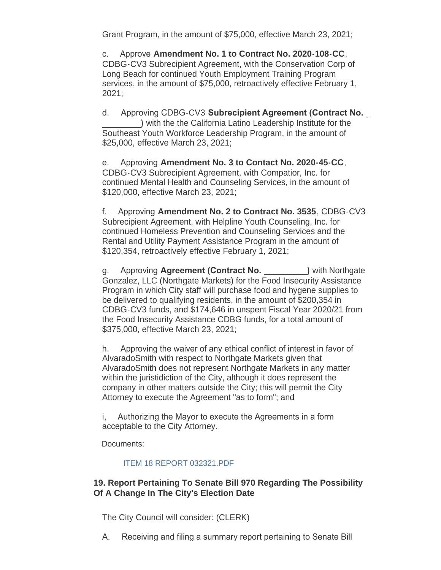Grant Program, in the amount of \$75,000, effective March 23, 2021;

c. Approve **Amendment No. 1 to Contract No. 2020-108-CC**, CDBG-CV3 Subrecipient Agreement, with the Conservation Corp of Long Beach for continued Youth Employment Training Program services, in the amount of \$75,000, retroactively effective February 1, 2021;

d. Approving CDBG-CV3 **Subrecipient Agreement (Contract No. )** with the the California Latino Leadership Institute for the Southeast Youth Workforce Leadership Program, in the amount of \$25,000, effective March 23, 2021;

e. Approving **Amendment No. 3 to Contact No. 2020-45-CC**, CDBG-CV3 Subrecipient Agreement, with Compatior, Inc. for continued Mental Health and Counseling Services, in the amount of \$120,000, effective March 23, 2021;

f. Approving **Amendment No. 2 to Contract No. 3535**, CDBG-CV3 Subrecipient Agreement, with Helpline Youth Counseling, Inc. for continued Homeless Prevention and Counseling Services and the Rental and Utility Payment Assistance Program in the amount of \$120,354, retroactively effective February 1, 2021;

g. Approving **Agreement (Contract No. )** with Northgate Gonzalez, LLC (Northgate Markets) for the Food Insecurity Assistance Program in which City staff will purchase food and hygene supplies to be delivered to qualifying residents, in the amount of \$200,354 in CDBG-CV3 funds, and \$174,646 in unspent Fiscal Year 2020/21 from the Food Insecurity Assistance CDBG funds, for a total amount of \$375,000, effective March 23, 2021;

h. Approving the waiver of any ethical conflict of interest in favor of AlvaradoSmith with respect to Northgate Markets given that AlvaradoSmith does not represent Northgate Markets in any matter within the juristidiction of the City, although it does represent the company in other matters outside the City; this will permit the City Attorney to execute the Agreement "as to form"; and

i, Authorizing the Mayor to execute the Agreements in a form acceptable to the City Attorney.

Documents:

### [ITEM 18 REPORT 032321.PDF](http://www.cityofsouthgate.org/AgendaCenter/ViewFile/Item/10259?fileID=33298)

### **19. Report Pertaining To Senate Bill 970 Regarding The Possibility Of A Change In The City's Election Date**

The City Council will consider: (CLERK)

A. Receiving and filing a summary report pertaining to Senate Bill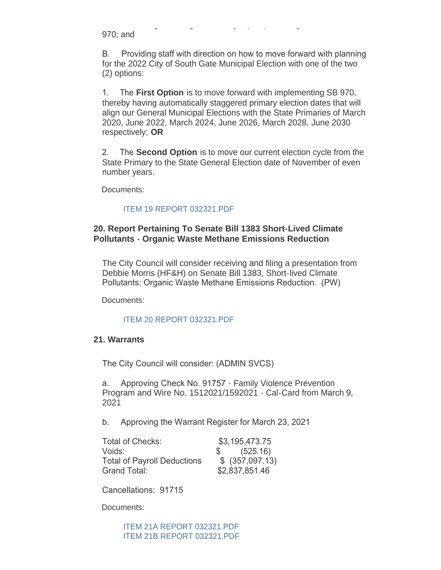970; and

B. Providing staff with direction on how to move forward with planning for the 2022 City of South Gate Municipal Election with one of the two (2) options:

A. Receiving and filing a summary report pertaining to Senate Bill

1. The **First Option** is to move forward with implementing SB 970, thereby having automatically staggered primary election dates that will align our General Municipal Elections with the State Primaries of March 2020, June 2022, March 2024, June 2026, March 2028, June 2030 respectively; **OR**

2. The **Second Option** is to move our current election cycle from the State Primary to the State General Election date of November of even number years.

Documents:

#### [ITEM 19 REPORT 032321.PDF](http://www.cityofsouthgate.org/AgendaCenter/ViewFile/Item/10247?fileID=33286)

#### **20. Report Pertaining To Senate Bill 1383 Short-Lived Climate Pollutants - Organic Waste Methane Emissions Reduction**

The City Council will consider receiving and filing a presentation from Debbie Morris (HF&H) on Senate Bill 1383, Short-lived Climate Pollutants: Organic Waste Methane Emissions Reduction. (PW)

Documents:

#### [ITEM 20 REPORT 032321.PDF](http://www.cityofsouthgate.org/AgendaCenter/ViewFile/Item/10248?fileID=33287)

#### **21. Warrants**

The City Council will consider: (ADMIN SVCS)

a. Approving Check No. 91757 - Family Violence Prevention Program and Wire No. 1512021/1592021 - Cal-Card from March 9, 2021

b. Approving the Warrant Register for March 23, 2021

| Total of Checks:                   | \$3,195,473.75         |  |
|------------------------------------|------------------------|--|
| Voids:                             | $\frac{1}{2}$ (525.16) |  |
| <b>Total of Payroll Deductions</b> | \$ (357,097.13)        |  |
| Grand Total:                       | \$2,837,851.46         |  |

Cancellations: 91715

Documents:

[ITEM 21A REPORT 032321.PDF](http://www.cityofsouthgate.org/AgendaCenter/ViewFile/Item/10265?fileID=33304) [ITEM 21B REPORT 032321.PDF](http://www.cityofsouthgate.org/AgendaCenter/ViewFile/Item/10265?fileID=33305)